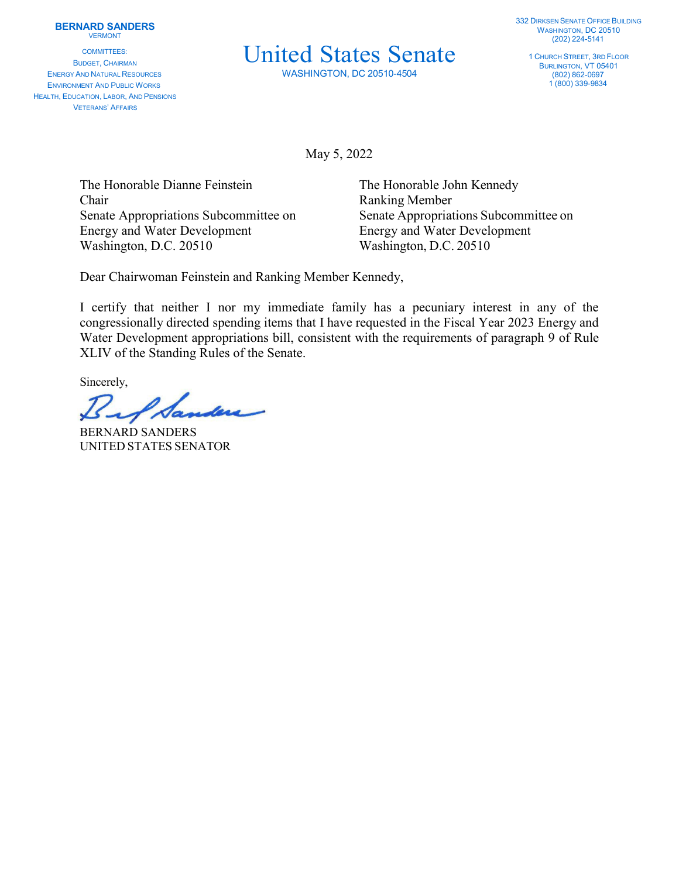COMMITTEES: BUDGET, CHAIRMAN ENERGY AND NATURAL RESOURCES ENVIRONMENT AND PUBLIC WORKS HEALTH, EDUCATION, LABOR, AND PENSIONS VETERANS' AFFAIRS

## United States Senate

WASHINGTON, DC 20510-4504

1 CHURCH STREET, 3RD FLOOR BURLINGTON, VT 05401 (802) 862-0697 1 (800) 339-9834

May 5, 2022

The Honorable Dianne Feinstein The Honorable John Kennedy Chair Ranking Member Energy and Water Development Energy and Water Development Washington, D.C. 20510 Washington, D.C. 20510

Senate Appropriations Subcommittee on Senate Appropriations Subcommittee on

Dear Chairwoman Feinstein and Ranking Member Kennedy,

I certify that neither I nor my immediate family has a pecuniary interest in any of the congressionally directed spending items that I have requested in the Fiscal Year 2023 Energy and Water Development appropriations bill, consistent with the requirements of paragraph 9 of Rule XLIV of the Standing Rules of the Senate.

Sincerely,

 $\mathscr{A}$ da

BERNARD SANDERS UNITED STATES SENATOR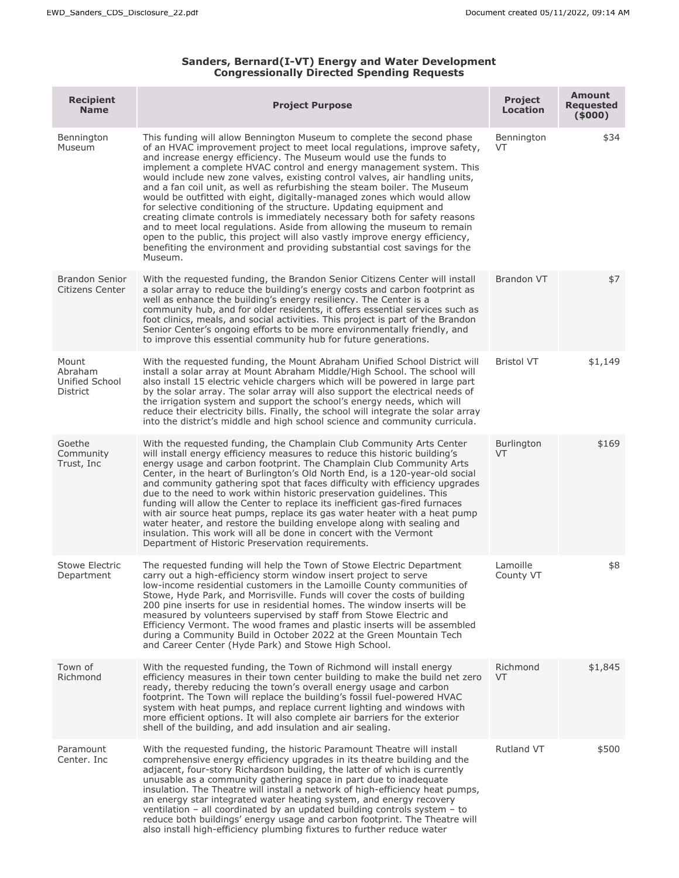## **Sanders, Bernard(I-VT) Energy and Water Development Congressionally Directed Spending Requests**

| <b>Recipient</b><br><b>Name</b>                | <b>Project Purpose</b>                                                                                                                                                                                                                                                                                                                                                                                                                                                                                                                                                                                                                                                                                                                                                                                                                                                                                                                           | <b>Project</b><br><b>Location</b> | <b>Amount</b><br><b>Requested</b><br>(5000) |
|------------------------------------------------|--------------------------------------------------------------------------------------------------------------------------------------------------------------------------------------------------------------------------------------------------------------------------------------------------------------------------------------------------------------------------------------------------------------------------------------------------------------------------------------------------------------------------------------------------------------------------------------------------------------------------------------------------------------------------------------------------------------------------------------------------------------------------------------------------------------------------------------------------------------------------------------------------------------------------------------------------|-----------------------------------|---------------------------------------------|
| Bennington<br>Museum                           | This funding will allow Bennington Museum to complete the second phase<br>of an HVAC improvement project to meet local regulations, improve safety,<br>and increase energy efficiency. The Museum would use the funds to<br>implement a complete HVAC control and energy management system. This<br>would include new zone valves, existing control valves, air handling units,<br>and a fan coil unit, as well as refurbishing the steam boiler. The Museum<br>would be outfitted with eight, digitally-managed zones which would allow<br>for selective conditioning of the structure. Updating equipment and<br>creating climate controls is immediately necessary both for safety reasons<br>and to meet local regulations. Aside from allowing the museum to remain<br>open to the public, this project will also vastly improve energy efficiency,<br>benefiting the environment and providing substantial cost savings for the<br>Museum. | Bennington<br>VT.                 | \$34                                        |
| <b>Brandon Senior</b><br>Citizens Center       | With the requested funding, the Brandon Senior Citizens Center will install<br>a solar array to reduce the building's energy costs and carbon footprint as<br>well as enhance the building's energy resiliency. The Center is a<br>community hub, and for older residents, it offers essential services such as<br>foot clinics, meals, and social activities. This project is part of the Brandon<br>Senior Center's ongoing efforts to be more environmentally friendly, and<br>to improve this essential community hub for future generations.                                                                                                                                                                                                                                                                                                                                                                                                | Brandon VT                        | \$7                                         |
| Mount<br>Abraham<br>Unified School<br>District | With the requested funding, the Mount Abraham Unified School District will<br>install a solar array at Mount Abraham Middle/High School. The school will<br>also install 15 electric vehicle chargers which will be powered in large part<br>by the solar array. The solar array will also support the electrical needs of<br>the irrigation system and support the school's energy needs, which will<br>reduce their electricity bills. Finally, the school will integrate the solar array<br>into the district's middle and high school science and community curricula.                                                                                                                                                                                                                                                                                                                                                                       | <b>Bristol VT</b>                 | \$1,149                                     |
| Goethe<br>Community<br>Trust, Inc              | With the requested funding, the Champlain Club Community Arts Center<br>will install energy efficiency measures to reduce this historic building's<br>energy usage and carbon footprint. The Champlain Club Community Arts<br>Center, in the heart of Burlington's Old North End, is a 120-year-old social<br>and community gathering spot that faces difficulty with efficiency upgrades<br>due to the need to work within historic preservation quidelines. This<br>funding will allow the Center to replace its inefficient gas-fired furnaces<br>with air source heat pumps, replace its gas water heater with a heat pump<br>water heater, and restore the building envelope along with sealing and<br>insulation. This work will all be done in concert with the Vermont<br>Department of Historic Preservation requirements.                                                                                                              | <b>Burlington</b><br>VT           | \$169                                       |
| Stowe Electric<br>Department                   | The requested funding will help the Town of Stowe Electric Department<br>carry out a high-efficiency storm window insert project to serve<br>low-income residential customers in the Lamoille County communities of<br>Stowe, Hyde Park, and Morrisville. Funds will cover the costs of building<br>200 pine inserts for use in residential homes. The window inserts will be<br>measured by volunteers supervised by staff from Stowe Electric and<br>Efficiency Vermont. The wood frames and plastic inserts will be assembled<br>during a Community Build in October 2022 at the Green Mountain Tech<br>and Career Center (Hyde Park) and Stowe High School.                                                                                                                                                                                                                                                                                  | Lamoille<br>County VT             | \$8                                         |
| Town of<br>Richmond                            | With the requested funding, the Town of Richmond will install energy<br>efficiency measures in their town center building to make the build net zero<br>ready, thereby reducing the town's overall energy usage and carbon<br>footprint. The Town will replace the building's fossil fuel-powered HVAC<br>system with heat pumps, and replace current lighting and windows with<br>more efficient options. It will also complete air barriers for the exterior<br>shell of the building, and add insulation and air sealing.                                                                                                                                                                                                                                                                                                                                                                                                                     | Richmond<br><b>VT</b>             | \$1,845                                     |
| Paramount<br>Center. Inc                       | With the requested funding, the historic Paramount Theatre will install<br>comprehensive energy efficiency upgrades in its theatre building and the<br>adjacent, four-story Richardson building, the latter of which is currently<br>unusable as a community gathering space in part due to inadequate<br>insulation. The Theatre will install a network of high-efficiency heat pumps,<br>an energy star integrated water heating system, and energy recovery<br>ventilation $-$ all coordinated by an updated building controls system $-$ to<br>reduce both buildings' energy usage and carbon footprint. The Theatre will<br>also install high-efficiency plumbing fixtures to further reduce water                                                                                                                                                                                                                                          | Rutland VT                        | \$500                                       |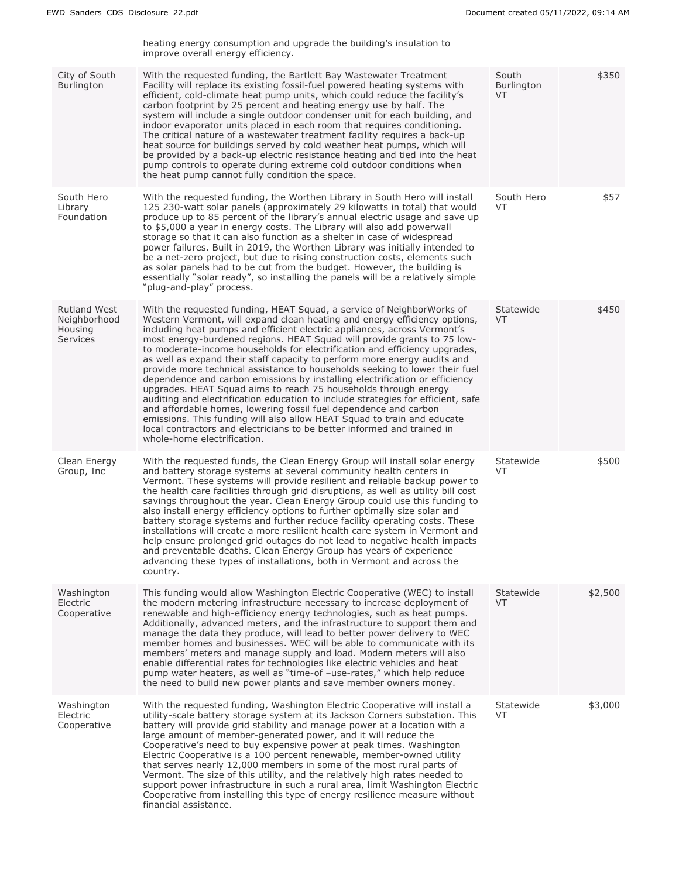|                                                                   | heating energy consumption and upgrade the building's insulation to<br>improve overall energy efficiency.                                                                                                                                                                                                                                                                                                                                                                                                                                                                                                                                                                                                                                                                                                                                                                                                                                                                                                                                         |                           |         |
|-------------------------------------------------------------------|---------------------------------------------------------------------------------------------------------------------------------------------------------------------------------------------------------------------------------------------------------------------------------------------------------------------------------------------------------------------------------------------------------------------------------------------------------------------------------------------------------------------------------------------------------------------------------------------------------------------------------------------------------------------------------------------------------------------------------------------------------------------------------------------------------------------------------------------------------------------------------------------------------------------------------------------------------------------------------------------------------------------------------------------------|---------------------------|---------|
| City of South<br>Burlington                                       | With the requested funding, the Bartlett Bay Wastewater Treatment<br>Facility will replace its existing fossil-fuel powered heating systems with<br>efficient, cold-climate heat pump units, which could reduce the facility's<br>carbon footprint by 25 percent and heating energy use by half. The<br>system will include a single outdoor condenser unit for each building, and<br>indoor evaporator units placed in each room that requires conditioning.<br>The critical nature of a wastewater treatment facility requires a back-up<br>heat source for buildings served by cold weather heat pumps, which will<br>be provided by a back-up electric resistance heating and tied into the heat<br>pump controls to operate during extreme cold outdoor conditions when<br>the heat pump cannot fully condition the space.                                                                                                                                                                                                                   | South<br>Burlington<br>VT | \$350   |
| South Hero<br>Library<br>Foundation                               | With the requested funding, the Worthen Library in South Hero will install<br>125 230-watt solar panels (approximately 29 kilowatts in total) that would<br>produce up to 85 percent of the library's annual electric usage and save up<br>to \$5,000 a year in energy costs. The Library will also add powerwall<br>storage so that it can also function as a shelter in case of widespread<br>power failures. Built in 2019, the Worthen Library was initially intended to<br>be a net-zero project, but due to rising construction costs, elements such<br>as solar panels had to be cut from the budget. However, the building is<br>essentially "solar ready", so installing the panels will be a relatively simple<br>"plug-and-play" process.                                                                                                                                                                                                                                                                                              | South Hero<br>VT          | \$57    |
| <b>Rutland West</b><br>Neighborhood<br>Housing<br><b>Services</b> | With the requested funding, HEAT Squad, a service of NeighborWorks of<br>Western Vermont, will expand clean heating and energy efficiency options,<br>including heat pumps and efficient electric appliances, across Vermont's<br>most energy-burdened regions. HEAT Squad will provide grants to 75 low-<br>to moderate-income households for electrification and efficiency upgrades,<br>as well as expand their staff capacity to perform more energy audits and<br>provide more technical assistance to households seeking to lower their fuel<br>dependence and carbon emissions by installing electrification or efficiency<br>upgrades. HEAT Squad aims to reach 75 households through energy<br>auditing and electrification education to include strategies for efficient, safe<br>and affordable homes, lowering fossil fuel dependence and carbon<br>emissions. This funding will also allow HEAT Squad to train and educate<br>local contractors and electricians to be better informed and trained in<br>whole-home electrification. | Statewide<br>VT           | \$450   |
| Clean Energy<br>Group, Inc.                                       | With the requested funds, the Clean Energy Group will install solar energy<br>and battery storage systems at several community health centers in<br>Vermont. These systems will provide resilient and reliable backup power to<br>the health care facilities through grid disruptions, as well as utility bill cost<br>savings throughout the year. Clean Energy Group could use this funding to<br>also install energy efficiency options to further optimally size solar and<br>battery storage systems and further reduce facility operating costs. These<br>installations will create a more resilient health care system in Vermont and<br>help ensure prolonged grid outages do not lead to negative health impacts<br>and preventable deaths. Clean Energy Group has years of experience<br>advancing these types of installations, both in Vermont and across the<br>country.                                                                                                                                                             | Statewide<br><b>VT</b>    | \$500   |
| Washington<br>Electric<br>Cooperative                             | This funding would allow Washington Electric Cooperative (WEC) to install<br>the modern metering infrastructure necessary to increase deployment of<br>renewable and high-efficiency energy technologies, such as heat pumps.<br>Additionally, advanced meters, and the infrastructure to support them and<br>manage the data they produce, will lead to better power delivery to WEC<br>member homes and businesses. WEC will be able to communicate with its<br>members' meters and manage supply and load. Modern meters will also<br>enable differential rates for technologies like electric vehicles and heat<br>pump water heaters, as well as "time-of -use-rates," which help reduce<br>the need to build new power plants and save member owners money.                                                                                                                                                                                                                                                                                 | Statewide<br><b>VT</b>    | \$2,500 |
| Washington<br>Electric<br>Cooperative                             | With the requested funding, Washington Electric Cooperative will install a<br>utility-scale battery storage system at its Jackson Corners substation. This<br>battery will provide grid stability and manage power at a location with a<br>large amount of member-generated power, and it will reduce the<br>Cooperative's need to buy expensive power at peak times. Washington<br>Electric Cooperative is a 100 percent renewable, member-owned utility<br>that serves nearly 12,000 members in some of the most rural parts of<br>Vermont. The size of this utility, and the relatively high rates needed to<br>support power infrastructure in such a rural area, limit Washington Electric<br>Cooperative from installing this type of energy resilience measure without<br>financial assistance.                                                                                                                                                                                                                                            | Statewide<br>VT           | \$3,000 |